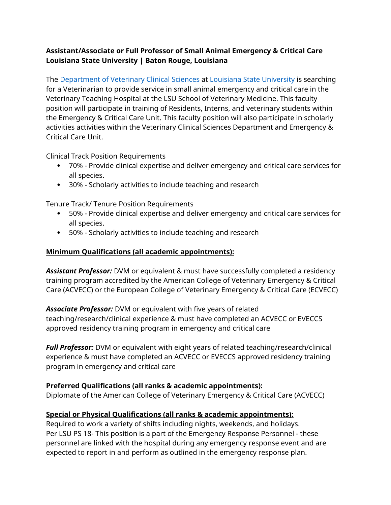# **Assistant/Associate or Full Professor of Small Animal Emergency & Critical Care Louisiana State University | Baton Rouge, Louisiana**

The [Department of Veterinary Clinical Sciences](https://www.lsu.edu/vetmed/vcs/) at [Louisiana State University](https://www.lsu.edu/index.php) is searching for a Veterinarian to provide service in small animal emergency and critical care in the Veterinary Teaching Hospital at the LSU School of Veterinary Medicine. This faculty position will participate in training of Residents, Interns, and veterinary students within the Emergency & Critical Care Unit. This faculty position will also participate in scholarly activities activities within the Veterinary Clinical Sciences Department and Emergency & Critical Care Unit.

Clinical Track Position Requirements

- 70% Provide clinical expertise and deliver emergency and critical care services for all species.
- 30% Scholarly activities to include teaching and research

Tenure Track/ Tenure Position Requirements

- 50% Provide clinical expertise and deliver emergency and critical care services for all species.
- 50% Scholarly activities to include teaching and research

### **Minimum Qualifications (all academic appointments):**

*Assistant Professor:* DVM or equivalent & must have successfully completed a residency training program accredited by the American College of Veterinary Emergency & Critical Care (ACVECC) or the European College of Veterinary Emergency & Critical Care (ECVECC)

*Associate Professor:* DVM or equivalent with five years of related teaching/research/clinical experience & must have completed an ACVECC or EVECCS approved residency training program in emergency and critical care

*Full Professor:* DVM or equivalent with eight years of related teaching/research/clinical experience & must have completed an ACVECC or EVECCS approved residency training program in emergency and critical care

#### **Preferred Qualifications (all ranks & academic appointments):**

Diplomate of the American College of Veterinary Emergency & Critical Care (ACVECC)

# **Special or Physical Qualifications (all ranks & academic appointments):**

Required to work a variety of shifts including nights, weekends, and holidays. Per LSU PS 18- This position is a part of the Emergency Response Personnel - these personnel are linked with the hospital during any emergency response event and are expected to report in and perform as outlined in the emergency response plan.